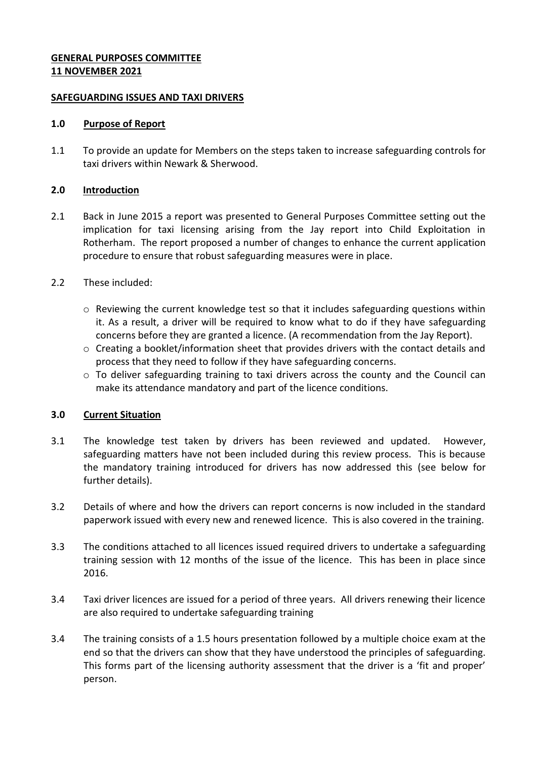### **GENERAL PURPOSES COMMITTEE 11 NOVEMBER 2021**

### **SAFEGUARDING ISSUES AND TAXI DRIVERS**

#### **1.0 Purpose of Report**

1.1 To provide an update for Members on the steps taken to increase safeguarding controls for taxi drivers within Newark & Sherwood.

# **2.0 Introduction**

- 2.1 Back in June 2015 a report was presented to General Purposes Committee setting out the implication for taxi licensing arising from the Jay report into Child Exploitation in Rotherham. The report proposed a number of changes to enhance the current application procedure to ensure that robust safeguarding measures were in place.
- 2.2 These included:
	- o Reviewing the current knowledge test so that it includes safeguarding questions within it. As a result, a driver will be required to know what to do if they have safeguarding concerns before they are granted a licence. (A recommendation from the Jay Report).
	- $\circ$  Creating a booklet/information sheet that provides drivers with the contact details and process that they need to follow if they have safeguarding concerns.
	- $\circ$  To deliver safeguarding training to taxi drivers across the county and the Council can make its attendance mandatory and part of the licence conditions.

# **3.0 Current Situation**

- 3.1 The knowledge test taken by drivers has been reviewed and updated. However, safeguarding matters have not been included during this review process. This is because the mandatory training introduced for drivers has now addressed this (see below for further details).
- 3.2 Details of where and how the drivers can report concerns is now included in the standard paperwork issued with every new and renewed licence. This is also covered in the training.
- 3.3 The conditions attached to all licences issued required drivers to undertake a safeguarding training session with 12 months of the issue of the licence. This has been in place since 2016.
- 3.4 Taxi driver licences are issued for a period of three years. All drivers renewing their licence are also required to undertake safeguarding training
- 3.4 The training consists of a 1.5 hours presentation followed by a multiple choice exam at the end so that the drivers can show that they have understood the principles of safeguarding. This forms part of the licensing authority assessment that the driver is a 'fit and proper' person.